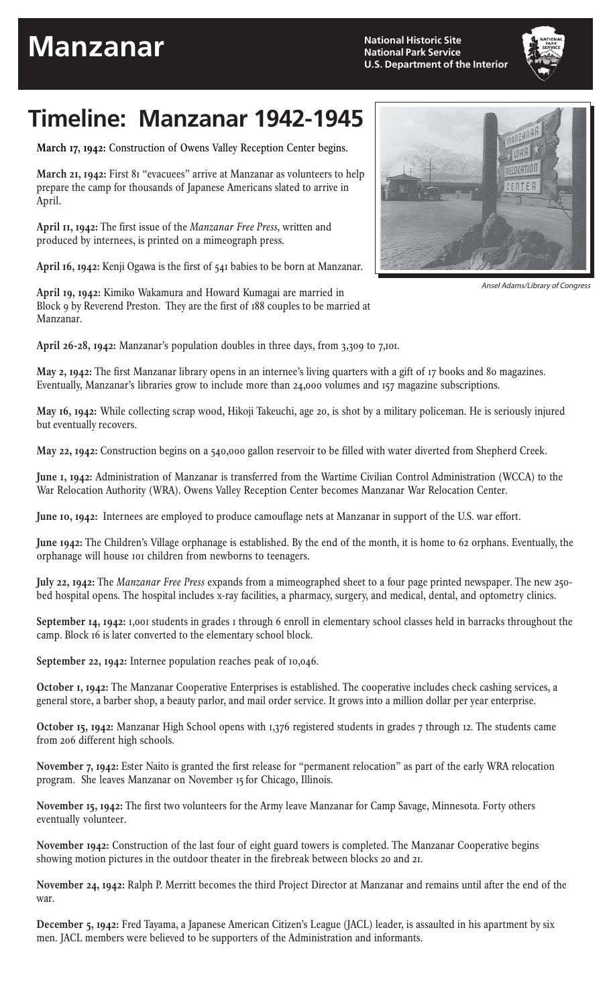## **Manzanar**

**National Historic Site National Park Service U.S. Department of the Interior**

## **Timeline: Manzanar 1942-1945**

**March 17, 1942:** Construction of Owens Valley Reception Center begins.

**March 21, 1942:** First 81 "evacuees" arrive at Manzanar as volunteers to help prepare the camp for thousands of Japanese Americans slated to arrive in April.

**April 11, 1942:** The first issue of the *Manzanar Free Press,* written and produced by internees, is printed on a mimeograph press.

**April 16, 1942:** Kenji Ogawa is the first of 541 babies to be born at Manzanar.

**April 19, 1942:** Kimiko Wakamura and Howard Kumagai are married in Block 9 by Reverend Preston. They are the first of 188 couples to be married at Manzanar.

**April 26-28, 1942:** Manzanar's population doubles in three days, from 3,309 to 7,101.

**May 2, 1942:** The first Manzanar library opens in an internee's living quarters with a gift of 17 books and 80 magazines. Eventually, Manzanar's libraries grow to include more than 24,000 volumes and 157 magazine subscriptions.

**May 16, 1942:** While collecting scrap wood, Hikoji Takeuchi, age 20, is shot by a military policeman. He is seriously injured but eventually recovers.

**May 22, 1942:** Construction begins on a 540,000 gallon reservoir to be filled with water diverted from Shepherd Creek.

**June 1, 1942:** Administration of Manzanar is transferred from the Wartime Civilian Control Administration (WCCA) to the War Relocation Authority (WRA). Owens Valley Reception Center becomes Manzanar War Relocation Center.

**June 10, 1942:** Internees are employed to produce camouflage nets at Manzanar in support of the U.S. war effort.

**June 1942:** The Children's Village orphanage is established. By the end of the month, it is home to 62 orphans. Eventually, the orphanage will house 101 children from newborns to teenagers.

**July 22, 1942:** The *Manzanar Free Press* expands from a mimeographed sheet to a four page printed newspaper. The new 250 bed hospital opens. The hospital includes x-ray facilities, a pharmacy, surgery, and medical, dental, and optometry clinics.

**September 14, 1942:** 1,001 students in grades 1 through 6 enroll in elementary school classes held in barracks throughout the camp. Block 16 is later converted to the elementary school block.

**September 22, 1942:** Internee population reaches peak of 10,046.

**October 1, 1942:** The Manzanar Cooperative Enterprises is established. The cooperative includes check cashing services, a general store, a barber shop, a beauty parlor, and mail order service. It grows into a million dollar per year enterprise.

**October 15, 1942:** Manzanar High School opens with 1,376 registered students in grades 7 through 12. The students came from 206 different high schools.

**November 7, 1942:** Ester Naito is granted the first release for "permanent relocation" as part of the early WRA relocation program. She leaves Manzanar on November 15 for Chicago, Illinois.

**November 15, 1942:** The first two volunteers for the Army leave Manzanar for Camp Savage, Minnesota. Forty others eventually volunteer.

**November 1942:** Construction of the last four of eight guard towers is completed. The Manzanar Cooperative begins showing motion pictures in the outdoor theater in the firebreak between blocks 20 and 21.

**November 24, 1942:** Ralph P. Merritt becomes the third Project Director at Manzanar and remains until after the end of the war.

**December 5, 1942:** Fred Tayama, a Japanese American Citizen's League (JACL) leader, is assaulted in his apartment by six men. JACL members were believed to be supporters of the Administration and informants.



Ansel Adams/Library of Congress